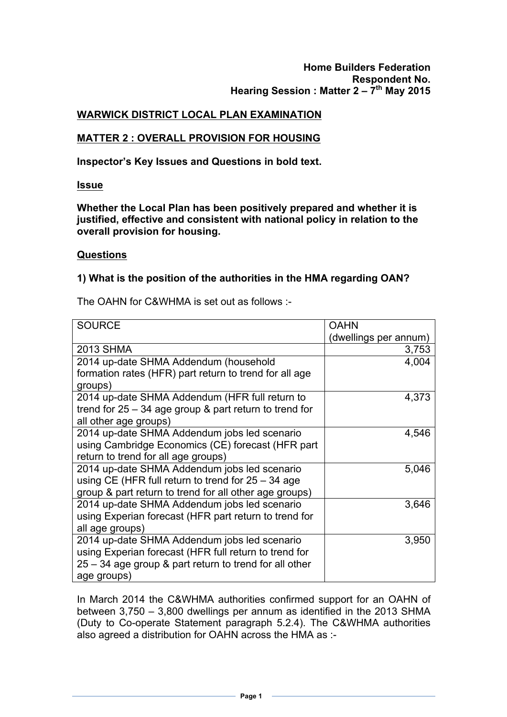# **WARWICK DISTRICT LOCAL PLAN EXAMINATION**

## **MATTER 2 : OVERALL PROVISION FOR HOUSING**

**Inspector's Key Issues and Questions in bold text.**

**Issue**

**Whether the Local Plan has been positively prepared and whether it is justified, effective and consistent with national policy in relation to the overall provision for housing.**

#### **Questions**

### **1) What is the position of the authorities in the HMA regarding OAN?**

The OAHN for C&WHMA is set out as follows :-

| <b>SOURCE</b>                                            | <b>OAHN</b>           |  |
|----------------------------------------------------------|-----------------------|--|
|                                                          | (dwellings per annum) |  |
| <b>2013 SHMA</b>                                         | 3,753                 |  |
| 2014 up-date SHMA Addendum (household                    | 4,004                 |  |
| formation rates (HFR) part return to trend for all age   |                       |  |
| groups)                                                  |                       |  |
| 2014 up-date SHMA Addendum (HFR full return to           | 4,373                 |  |
| trend for $25 - 34$ age group & part return to trend for |                       |  |
| all other age groups)                                    |                       |  |
| 2014 up-date SHMA Addendum jobs led scenario             | 4,546                 |  |
| using Cambridge Economics (CE) forecast (HFR part        |                       |  |
| return to trend for all age groups)                      |                       |  |
| 2014 up-date SHMA Addendum jobs led scenario             | 5,046                 |  |
| using CE (HFR full return to trend for $25 - 34$ age     |                       |  |
| group & part return to trend for all other age groups)   |                       |  |
| 2014 up-date SHMA Addendum jobs led scenario             | 3,646                 |  |
| using Experian forecast (HFR part return to trend for    |                       |  |
| all age groups)                                          |                       |  |
| 2014 up-date SHMA Addendum jobs led scenario             | 3,950                 |  |
| using Experian forecast (HFR full return to trend for    |                       |  |
| 25 – 34 age group & part return to trend for all other   |                       |  |
| age groups)                                              |                       |  |

In March 2014 the C&WHMA authorities confirmed support for an OAHN of between 3,750 – 3,800 dwellings per annum as identified in the 2013 SHMA (Duty to Co-operate Statement paragraph 5.2.4). The C&WHMA authorities also agreed a distribution for OAHN across the HMA as :-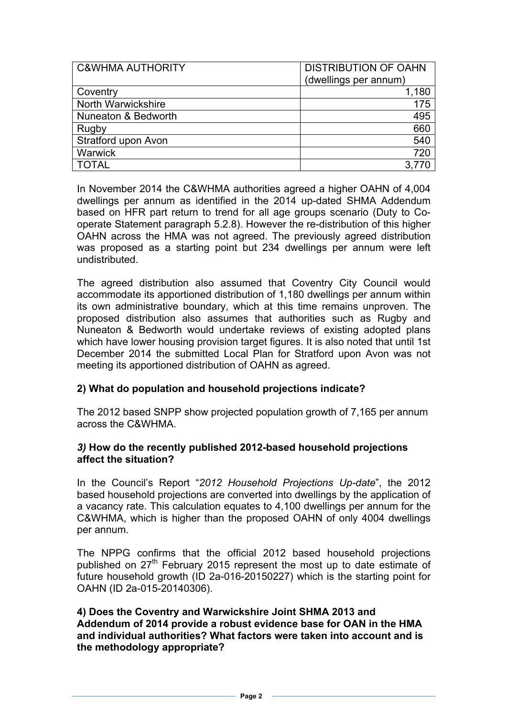| <b>C&amp;WHMA AUTHORITY</b> | <b>DISTRIBUTION OF OAHN</b><br>(dwellings per annum) |
|-----------------------------|------------------------------------------------------|
| Coventry                    | 1,180                                                |
| North Warwickshire          | 175                                                  |
| Nuneaton & Bedworth         | 495                                                  |
| Rugby                       | 660                                                  |
| Stratford upon Avon         | 540                                                  |
| Warwick                     | 720                                                  |
| TOTAL                       |                                                      |

In November 2014 the C&WHMA authorities agreed a higher OAHN of 4,004 dwellings per annum as identified in the 2014 up-dated SHMA Addendum based on HFR part return to trend for all age groups scenario (Duty to Cooperate Statement paragraph 5.2.8). However the re-distribution of this higher OAHN across the HMA was not agreed. The previously agreed distribution was proposed as a starting point but 234 dwellings per annum were left undistributed.

The agreed distribution also assumed that Coventry City Council would accommodate its apportioned distribution of 1,180 dwellings per annum within its own administrative boundary, which at this time remains unproven. The proposed distribution also assumes that authorities such as Rugby and Nuneaton & Bedworth would undertake reviews of existing adopted plans which have lower housing provision target figures. It is also noted that until 1st December 2014 the submitted Local Plan for Stratford upon Avon was not meeting its apportioned distribution of OAHN as agreed.

# **2) What do population and household projections indicate?**

The 2012 based SNPP show projected population growth of 7,165 per annum across the C&WHMA.

### *3)* **How do the recently published 2012-based household projections affect the situation?**

In the Council's Report "*2012 Household Projections Up-date*", the 2012 based household projections are converted into dwellings by the application of a vacancy rate. This calculation equates to 4,100 dwellings per annum for the C&WHMA, which is higher than the proposed OAHN of only 4004 dwellings per annum.

The NPPG confirms that the official 2012 based household projections published on  $27<sup>th</sup>$  February 2015 represent the most up to date estimate of future household growth (ID 2a-016-20150227) which is the starting point for OAHN (ID 2a-015-20140306).

### **4) Does the Coventry and Warwickshire Joint SHMA 2013 and Addendum of 2014 provide a robust evidence base for OAN in the HMA and individual authorities? What factors were taken into account and is the methodology appropriate?**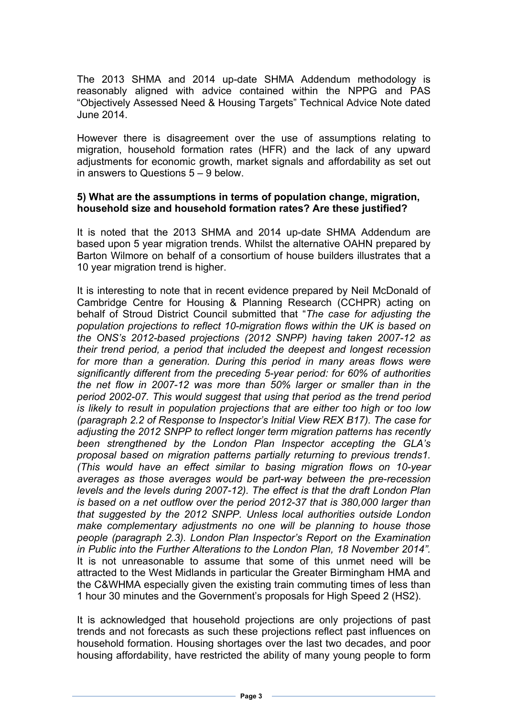The 2013 SHMA and 2014 up-date SHMA Addendum methodology is reasonably aligned with advice contained within the NPPG and PAS "Objectively Assessed Need & Housing Targets" Technical Advice Note dated June 2014.

However there is disagreement over the use of assumptions relating to migration, household formation rates (HFR) and the lack of any upward adjustments for economic growth, market signals and affordability as set out in answers to Questions 5 – 9 below.

#### **5) What are the assumptions in terms of population change, migration, household size and household formation rates? Are these justified?**

It is noted that the 2013 SHMA and 2014 up-date SHMA Addendum are based upon 5 year migration trends. Whilst the alternative OAHN prepared by Barton Wilmore on behalf of a consortium of house builders illustrates that a 10 year migration trend is higher.

It is interesting to note that in recent evidence prepared by Neil McDonald of Cambridge Centre for Housing & Planning Research (CCHPR) acting on behalf of Stroud District Council submitted that "*The case for adjusting the population projections to reflect 10-migration flows within the UK is based on the ONS's 2012-based projections (2012 SNPP) having taken 2007-12 as their trend period, a period that included the deepest and longest recession*  for more than a generation. During this period in many areas flows were *significantly different from the preceding 5-year period: for 60% of authorities the net flow in 2007-12 was more than 50% larger or smaller than in the period 2002-07. This would suggest that using that period as the trend period is likely to result in population projections that are either too high or too low (paragraph 2.2 of Response to Inspector's Initial View REX B17). The case for adjusting the 2012 SNPP to reflect longer term migration patterns has recently been strengthened by the London Plan Inspector accepting the GLA's proposal based on migration patterns partially returning to previous trends1. (This would have an effect similar to basing migration flows on 10-year averages as those averages would be part-way between the pre-recession levels and the levels during 2007-12). The effect is that the draft London Plan is based on a net outflow over the period 2012-37 that is 380,000 larger than that suggested by the 2012 SNPP. Unless local authorities outside London make complementary adjustments no one will be planning to house those people (paragraph 2.3). London Plan Inspector's Report on the Examination in Public into the Further Alterations to the London Plan, 18 November 2014".* It is not unreasonable to assume that some of this unmet need will be attracted to the West Midlands in particular the Greater Birmingham HMA and the C&WHMA especially given the existing train commuting times of less than 1 hour 30 minutes and the Government's proposals for High Speed 2 (HS2). 

It is acknowledged that household projections are only projections of past trends and not forecasts as such these projections reflect past influences on household formation. Housing shortages over the last two decades, and poor housing affordability, have restricted the ability of many young people to form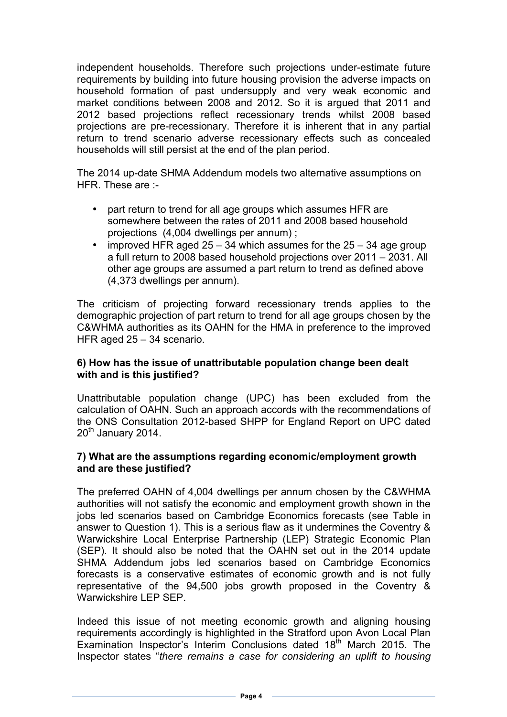independent households. Therefore such projections under-estimate future requirements by building into future housing provision the adverse impacts on household formation of past undersupply and very weak economic and market conditions between 2008 and 2012. So it is argued that 2011 and 2012 based projections reflect recessionary trends whilst 2008 based projections are pre-recessionary. Therefore it is inherent that in any partial return to trend scenario adverse recessionary effects such as concealed households will still persist at the end of the plan period.

The 2014 up-date SHMA Addendum models two alternative assumptions on HFR. These are :-

- part return to trend for all age groups which assumes HFR are somewhere between the rates of 2011 and 2008 based household projections (4,004 dwellings per annum) ;
- improved HFR aged  $25 34$  which assumes for the  $25 34$  age group a full return to 2008 based household projections over 2011 – 2031. All other age groups are assumed a part return to trend as defined above (4,373 dwellings per annum).

The criticism of projecting forward recessionary trends applies to the demographic projection of part return to trend for all age groups chosen by the C&WHMA authorities as its OAHN for the HMA in preference to the improved HFR aged 25 – 34 scenario.

### **6) How has the issue of unattributable population change been dealt with and is this justified?**

Unattributable population change (UPC) has been excluded from the calculation of OAHN. Such an approach accords with the recommendations of the ONS Consultation 2012-based SHPP for England Report on UPC dated 20<sup>th</sup> January 2014.

### **7) What are the assumptions regarding economic/employment growth and are these justified?**

The preferred OAHN of 4,004 dwellings per annum chosen by the C&WHMA authorities will not satisfy the economic and employment growth shown in the jobs led scenarios based on Cambridge Economics forecasts (see Table in answer to Question 1). This is a serious flaw as it undermines the Coventry & Warwickshire Local Enterprise Partnership (LEP) Strategic Economic Plan (SEP). It should also be noted that the OAHN set out in the 2014 update SHMA Addendum jobs led scenarios based on Cambridge Economics forecasts is a conservative estimates of economic growth and is not fully representative of the 94,500 jobs growth proposed in the Coventry & Warwickshire LEP SEP.

Indeed this issue of not meeting economic growth and aligning housing requirements accordingly is highlighted in the Stratford upon Avon Local Plan Examination Inspector's Interim Conclusions dated 18<sup>th</sup> March 2015. The Inspector states "*there remains a case for considering an uplift to housing*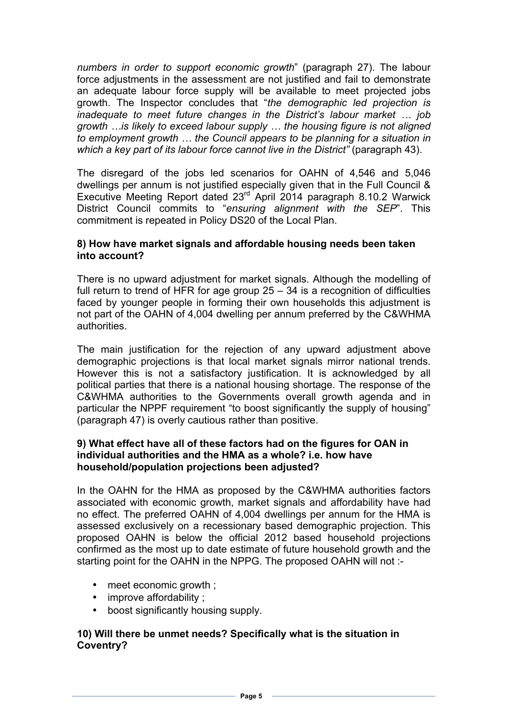*numbers in order to support economic growth*" (paragraph 27). The labour force adjustments in the assessment are not justified and fail to demonstrate an adequate labour force supply will be available to meet projected jobs growth. The Inspector concludes that "*the demographic led projection is inadequate to meet future changes in the District's labour market … job growth …is likely to exceed labour supply … the housing figure is not aligned to employment growth … the Council appears to be planning for a situation in which a key part of its labour force cannot live in the District"* (paragraph 43).

The disregard of the jobs led scenarios for OAHN of 4,546 and 5,046 dwellings per annum is not justified especially given that in the Full Council & Executive Meeting Report dated 23rd April 2014 paragraph 8.10.2 Warwick District Council commits to "*ensuring alignment with the SEP*". This commitment is repeated in Policy DS20 of the Local Plan.

### **8) How have market signals and affordable housing needs been taken into account?**

There is no upward adjustment for market signals. Although the modelling of full return to trend of HFR for age group 25 – 34 is a recognition of difficulties faced by younger people in forming their own households this adjustment is not part of the OAHN of 4,004 dwelling per annum preferred by the C&WHMA authorities.

The main justification for the rejection of any upward adjustment above demographic projections is that local market signals mirror national trends. However this is not a satisfactory justification. It is acknowledged by all political parties that there is a national housing shortage. The response of the C&WHMA authorities to the Governments overall growth agenda and in particular the NPPF requirement "to boost significantly the supply of housing" (paragraph 47) is overly cautious rather than positive.

## **9) What effect have all of these factors had on the figures for OAN in individual authorities and the HMA as a whole? i.e. how have household/population projections been adjusted?**

In the OAHN for the HMA as proposed by the C&WHMA authorities factors associated with economic growth, market signals and affordability have had no effect. The preferred OAHN of 4,004 dwellings per annum for the HMA is assessed exclusively on a recessionary based demographic projection. This proposed OAHN is below the official 2012 based household projections confirmed as the most up to date estimate of future household growth and the starting point for the OAHN in the NPPG. The proposed OAHN will not :-

- meet economic growth :
- improve affordability;
- boost significantly housing supply.

## **10) Will there be unmet needs? Specifically what is the situation in Coventry?**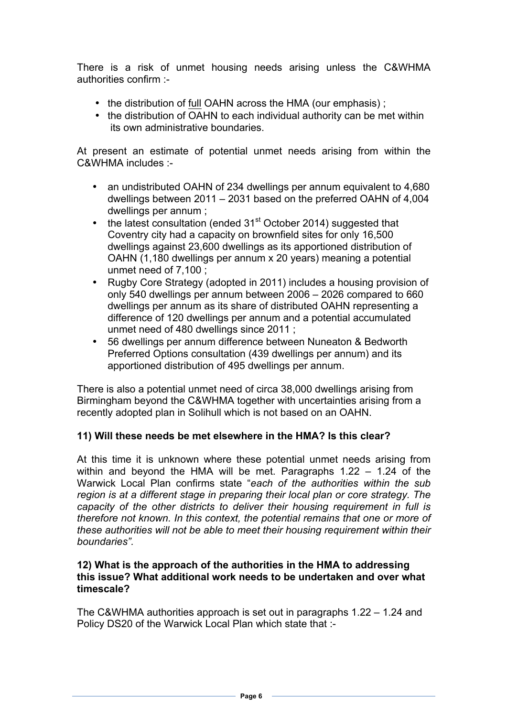There is a risk of unmet housing needs arising unless the C&WHMA authorities confirm :-

- the distribution of full OAHN across the HMA (our emphasis);
- the distribution of OAHN to each individual authority can be met within its own administrative boundaries.

At present an estimate of potential unmet needs arising from within the C&WHMA includes :-

- an undistributed OAHN of 234 dwellings per annum equivalent to 4,680 dwellings between 2011 – 2031 based on the preferred OAHN of 4,004 dwellings per annum ;
- the latest consultation (ended  $31<sup>st</sup>$  October 2014) suggested that Coventry city had a capacity on brownfield sites for only 16,500 dwellings against 23,600 dwellings as its apportioned distribution of OAHN (1,180 dwellings per annum x 20 years) meaning a potential unmet need of 7,100 ;
- Rugby Core Strategy (adopted in 2011) includes a housing provision of only 540 dwellings per annum between 2006 – 2026 compared to 660 dwellings per annum as its share of distributed OAHN representing a difference of 120 dwellings per annum and a potential accumulated unmet need of 480 dwellings since 2011 ;
- 56 dwellings per annum difference between Nuneaton & Bedworth Preferred Options consultation (439 dwellings per annum) and its apportioned distribution of 495 dwellings per annum.

There is also a potential unmet need of circa 38,000 dwellings arising from Birmingham beyond the C&WHMA together with uncertainties arising from a recently adopted plan in Solihull which is not based on an OAHN.

### **11) Will these needs be met elsewhere in the HMA? Is this clear?**

At this time it is unknown where these potential unmet needs arising from within and beyond the HMA will be met. Paragraphs 1.22 – 1.24 of the Warwick Local Plan confirms state "*each of the authorities within the sub region is at a different stage in preparing their local plan or core strategy. The capacity of the other districts to deliver their housing requirement in full is therefore not known. In this context, the potential remains that one or more of these authorities will not be able to meet their housing requirement within their boundaries".*

#### **12) What is the approach of the authorities in the HMA to addressing this issue? What additional work needs to be undertaken and over what timescale?**

The C&WHMA authorities approach is set out in paragraphs 1.22 – 1.24 and Policy DS20 of the Warwick Local Plan which state that :-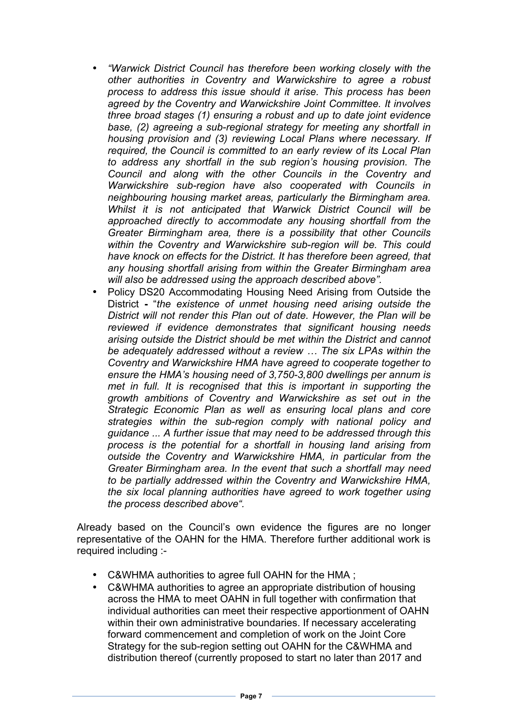- *"Warwick District Council has therefore been working closely with the other authorities in Coventry and Warwickshire to agree a robust process to address this issue should it arise. This process has been agreed by the Coventry and Warwickshire Joint Committee. It involves three broad stages (1) ensuring a robust and up to date joint evidence base, (2) agreeing a sub-regional strategy for meeting any shortfall in housing provision and (3) reviewing Local Plans where necessary. If required, the Council is committed to an early review of its Local Plan to address any shortfall in the sub region's housing provision. The Council and along with the other Councils in the Coventry and Warwickshire sub-region have also cooperated with Councils in neighbouring housing market areas, particularly the Birmingham area. Whilst it is not anticipated that Warwick District Council will be approached directly to accommodate any housing shortfall from the Greater Birmingham area, there is a possibility that other Councils within the Coventry and Warwickshire sub-region will be. This could have knock on effects for the District. It has therefore been agreed, that any housing shortfall arising from within the Greater Birmingham area will also be addressed using the approach described above".*
- Policy DS20 Accommodating Housing Need Arising from Outside the District **-** "*the existence of unmet housing need arising outside the District will not render this Plan out of date. However, the Plan will be reviewed if evidence demonstrates that significant housing needs arising outside the District should be met within the District and cannot be adequately addressed without a review … The six LPAs within the Coventry and Warwickshire HMA have agreed to cooperate together to ensure the HMA's housing need of 3,750-3,800 dwellings per annum is met in full. It is recognised that this is important in supporting the growth ambitions of Coventry and Warwickshire as set out in the Strategic Economic Plan as well as ensuring local plans and core strategies within the sub-region comply with national policy and guidance ... A further issue that may need to be addressed through this process is the potential for a shortfall in housing land arising from outside the Coventry and Warwickshire HMA, in particular from the Greater Birmingham area. In the event that such a shortfall may need to be partially addressed within the Coventry and Warwickshire HMA, the six local planning authorities have agreed to work together using the process described above".*

Already based on the Council's own evidence the figures are no longer representative of the OAHN for the HMA. Therefore further additional work is required including :-

- C&WHMA authorities to agree full OAHN for the HMA ;
- C&WHMA authorities to agree an appropriate distribution of housing across the HMA to meet OAHN in full together with confirmation that individual authorities can meet their respective apportionment of OAHN within their own administrative boundaries. If necessary accelerating forward commencement and completion of work on the Joint Core Strategy for the sub-region setting out OAHN for the C&WHMA and distribution thereof (currently proposed to start no later than 2017 and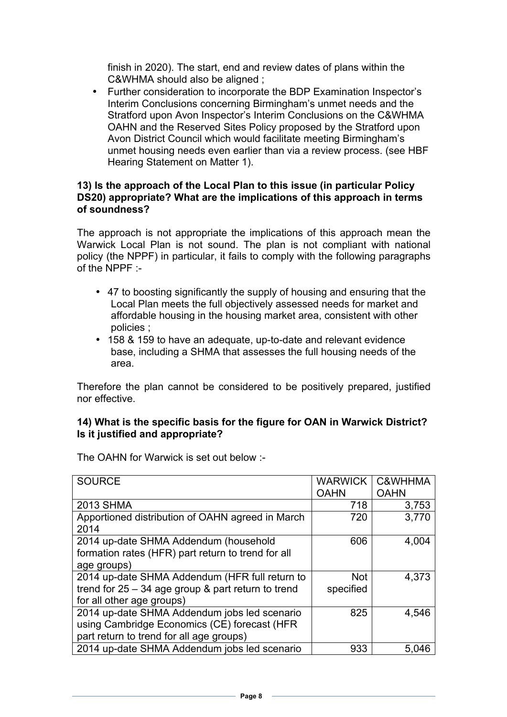finish in 2020). The start, end and review dates of plans within the C&WHMA should also be aligned ;

• Further consideration to incorporate the BDP Examination Inspector's Interim Conclusions concerning Birmingham's unmet needs and the Stratford upon Avon Inspector's Interim Conclusions on the C&WHMA OAHN and the Reserved Sites Policy proposed by the Stratford upon Avon District Council which would facilitate meeting Birmingham's unmet housing needs even earlier than via a review process. (see HBF Hearing Statement on Matter 1).

### **13) Is the approach of the Local Plan to this issue (in particular Policy DS20) appropriate? What are the implications of this approach in terms of soundness?**

The approach is not appropriate the implications of this approach mean the Warwick Local Plan is not sound. The plan is not compliant with national policy (the NPPF) in particular, it fails to comply with the following paragraphs of the NPPF :-

- 47 to boosting significantly the supply of housing and ensuring that the Local Plan meets the full objectively assessed needs for market and affordable housing in the housing market area, consistent with other policies ;
- 158 & 159 to have an adequate, up-to-date and relevant evidence base, including a SHMA that assesses the full housing needs of the area.

Therefore the plan cannot be considered to be positively prepared, justified nor effective.

## **14) What is the specific basis for the figure for OAN in Warwick District? Is it justified and appropriate?**

| <b>SOURCE</b>                                        | <b>WARWICK</b> | C&WHHMA     |
|------------------------------------------------------|----------------|-------------|
|                                                      | <b>OAHN</b>    | <b>OAHN</b> |
| <b>2013 SHMA</b>                                     | 718            | 3,753       |
| Apportioned distribution of OAHN agreed in March     | 720            | 3,770       |
| 2014                                                 |                |             |
| 2014 up-date SHMA Addendum (household                | 606            | 4,004       |
| formation rates (HFR) part return to trend for all   |                |             |
| age groups)                                          |                |             |
| 2014 up-date SHMA Addendum (HFR full return to       | <b>Not</b>     | 4,373       |
| trend for $25 - 34$ age group & part return to trend | specified      |             |
| for all other age groups)                            |                |             |
| 2014 up-date SHMA Addendum jobs led scenario         | 825            | 4,546       |
| using Cambridge Economics (CE) forecast (HFR         |                |             |
| part return to trend for all age groups)             |                |             |
| 2014 up-date SHMA Addendum jobs led scenario         | 933            | 5,046       |

The OAHN for Warwick is set out below :-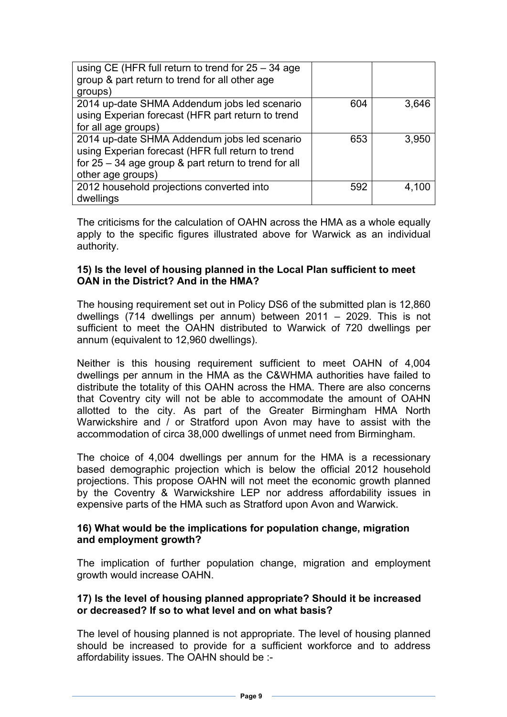| using CE (HFR full return to trend for $25 - 34$ age<br>group & part return to trend for all other age<br>groups)                                                                |     |       |
|----------------------------------------------------------------------------------------------------------------------------------------------------------------------------------|-----|-------|
| 2014 up-date SHMA Addendum jobs led scenario<br>using Experian forecast (HFR part return to trend<br>for all age groups)                                                         | 604 | 3,646 |
| 2014 up-date SHMA Addendum jobs led scenario<br>using Experian forecast (HFR full return to trend<br>for $25 - 34$ age group & part return to trend for all<br>other age groups) | 653 | 3,950 |
| 2012 household projections converted into<br>dwellings                                                                                                                           | 592 | 4,100 |

The criticisms for the calculation of OAHN across the HMA as a whole equally apply to the specific figures illustrated above for Warwick as an individual authority.

### **15) Is the level of housing planned in the Local Plan sufficient to meet OAN in the District? And in the HMA?**

The housing requirement set out in Policy DS6 of the submitted plan is 12,860 dwellings (714 dwellings per annum) between 2011 – 2029. This is not sufficient to meet the OAHN distributed to Warwick of 720 dwellings per annum (equivalent to 12,960 dwellings).

Neither is this housing requirement sufficient to meet OAHN of 4,004 dwellings per annum in the HMA as the C&WHMA authorities have failed to distribute the totality of this OAHN across the HMA. There are also concerns that Coventry city will not be able to accommodate the amount of OAHN allotted to the city. As part of the Greater Birmingham HMA North Warwickshire and / or Stratford upon Avon may have to assist with the accommodation of circa 38,000 dwellings of unmet need from Birmingham.

The choice of 4,004 dwellings per annum for the HMA is a recessionary based demographic projection which is below the official 2012 household projections. This propose OAHN will not meet the economic growth planned by the Coventry & Warwickshire LEP nor address affordability issues in expensive parts of the HMA such as Stratford upon Avon and Warwick.

### **16) What would be the implications for population change, migration and employment growth?**

The implication of further population change, migration and employment growth would increase OAHN.

## **17) Is the level of housing planned appropriate? Should it be increased or decreased? If so to what level and on what basis?**

The level of housing planned is not appropriate. The level of housing planned should be increased to provide for a sufficient workforce and to address affordability issues. The OAHN should be :-